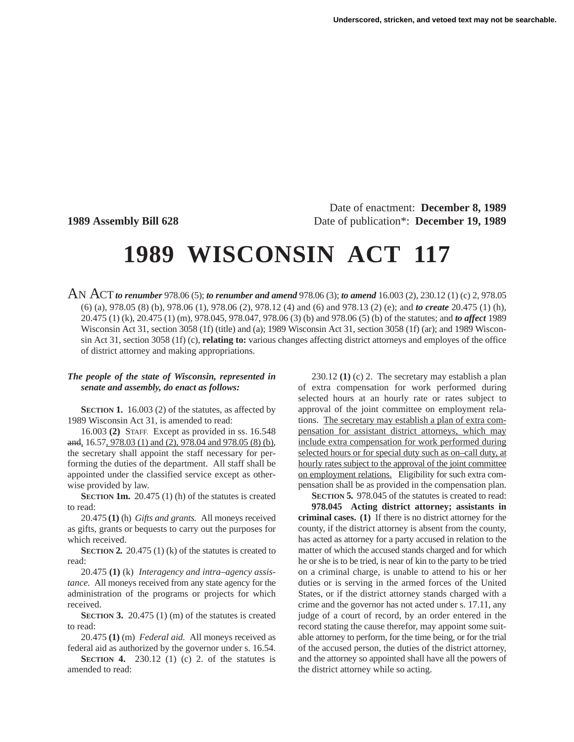Date of enactment: **December 8, 1989 1989 Assembly Bill 628** Date of publication\*: **December 19, 1989**

# **1989 WISCONSIN ACT 117**

AN ACT*to renumber* 978.06 (5); *to renumber and amend* 978.06 (3); *to amend* 16.003 (2), 230.12 (1) (c) 2, 978.05 (6) (a), 978.05 (8) (b), 978.06 (1), 978.06 (2), 978.12 (4) and (6) and 978.13 (2) (e); and *to create* 20.475 (1) (h), 20.475 (1) (k), 20.475 (1) (m), 978.045, 978.047, 978.06 (3) (b) and 978.06 (5) (b) of the statutes; and *to affect* 1989 Wisconsin Act 31, section 3058 (1f) (title) and (a); 1989 Wisconsin Act 31, section 3058 (1f) (ar); and 1989 Wisconsin Act 31, section 3058 (1f) (c), **relating to:** various changes affecting district attorneys and employes of the office of district attorney and making appropriations.

### *The people of the state of Wisconsin, represented in senate and assembly, do enact as follows:*

**SECTION 1.** 16.003 (2) of the statutes, as affected by 1989 Wisconsin Act 31, is amended to read:

16.003 **(2)** STAFF. Except as provided in ss. 16.548 and, 16.57, 978.03 (1) and (2), 978.04 and 978.05 (8) (b), the secretary shall appoint the staff necessary for performing the duties of the department. All staff shall be appointed under the classified service except as otherwise provided by law.

**SECTION 1m.** 20.475 (1) (h) of the statutes is created to read:

20.475 **(1)** (h) *Gifts and grants.* All moneys received as gifts, grants or bequests to carry out the purposes for which received.

**SECTION 2.** 20.475 (1) (k) of the statutes is created to read:

20.475 **(1)** (k) *Interagency and intra–agency assistance.* All moneys received from any state agency for the administration of the programs or projects for which received.

**SECTION 3.** 20.475 (1) (m) of the statutes is created to read:

20.475 **(1)** (m) *Federal aid.* All moneys received as federal aid as authorized by the governor under s. 16.54.

**SECTION 4.** 230.12 (1) (c) 2. of the statutes is amended to read:

230.12 **(1)** (c) 2. The secretary may establish a plan of extra compensation for work performed during selected hours at an hourly rate or rates subject to approval of the joint committee on employment relations. The secretary may establish a plan of extra compensation for assistant district attorneys, which may include extra compensation for work performed during selected hours or for special duty such as on–call duty, at hourly rates subject to the approval of the joint committee on employment relations. Eligibility for such extra compensation shall be as provided in the compensation plan.

**SECTION 5.** 978.045 of the statutes is created to read:

**978.045 Acting district attorney; assistants in criminal cases. (1)** If there is no district attorney for the county, if the district attorney is absent from the county, has acted as attorney for a party accused in relation to the matter of which the accused stands charged and for which he or she is to be tried, is near of kin to the party to be tried on a criminal charge, is unable to attend to his or her duties or is serving in the armed forces of the United States, or if the district attorney stands charged with a crime and the governor has not acted under s. 17.11, any judge of a court of record, by an order entered in the record stating the cause therefor, may appoint some suitable attorney to perform, for the time being, or for the trial of the accused person, the duties of the district attorney, and the attorney so appointed shall have all the powers of the district attorney while so acting.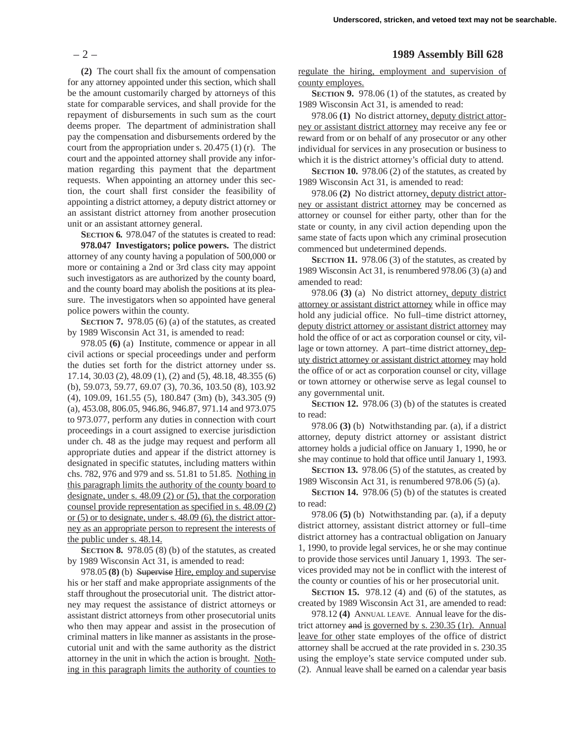**(2)** The court shall fix the amount of compensation for any attorney appointed under this section, which shall be the amount customarily charged by attorneys of this state for comparable services, and shall provide for the repayment of disbursements in such sum as the court deems proper. The department of administration shall pay the compensation and disbursements ordered by the court from the appropriation under s. 20.475 (1) (r). The court and the appointed attorney shall provide any information regarding this payment that the department requests. When appointing an attorney under this section, the court shall first consider the feasibility of appointing a district attorney, a deputy district attorney or an assistant district attorney from another prosecution unit or an assistant attorney general.

**SECTION 6.** 978.047 of the statutes is created to read: **978.047 Investigators; police powers.** The district attorney of any county having a population of 500,000 or more or containing a 2nd or 3rd class city may appoint such investigators as are authorized by the county board, and the county board may abolish the positions at its pleasure. The investigators when so appointed have general police powers within the county.

**SECTION 7.** 978.05 (6) (a) of the statutes, as created by 1989 Wisconsin Act 31, is amended to read:

978.05 **(6)** (a) Institute, commence or appear in all civil actions or special proceedings under and perform the duties set forth for the district attorney under ss. 17.14, 30.03 (2), 48.09 (1), (2) and (5), 48.18, 48.355 (6) (b), 59.073, 59.77, 69.07 (3), 70.36, 103.50 (8), 103.92 (4), 109.09, 161.55 (5), 180.847 (3m) (b), 343.305 (9) (a), 453.08, 806.05, 946.86, 946.87, 971.14 and 973.075 to 973.077, perform any duties in connection with court proceedings in a court assigned to exercise jurisdiction under ch. 48 as the judge may request and perform all appropriate duties and appear if the district attorney is designated in specific statutes, including matters within chs. 782, 976 and 979 and ss. 51.81 to 51.85. Nothing in this paragraph limits the authority of the county board to designate, under s. 48.09 (2) or (5), that the corporation counsel provide representation as specified in s. 48.09 (2) or (5) or to designate, under s. 48.09 (6), the district attorney as an appropriate person to represent the interests of the public under s. 48.14.

**SECTION 8.** 978.05 (8) (b) of the statutes, as created by 1989 Wisconsin Act 31, is amended to read:

978.05 **(8)** (b) Supervise Hire, employ and supervise his or her staff and make appropriate assignments of the staff throughout the prosecutorial unit. The district attorney may request the assistance of district attorneys or assistant district attorneys from other prosecutorial units who then may appear and assist in the prosecution of criminal matters in like manner as assistants in the prosecutorial unit and with the same authority as the district attorney in the unit in which the action is brought. Nothing in this paragraph limits the authority of counties to

## – 2 – **1989 Assembly Bill 628**

regulate the hiring, employment and supervision of county employes.

**SECTION 9.** 978.06 (1) of the statutes, as created by 1989 Wisconsin Act 31, is amended to read:

978.06 **(1)** No district attorney, deputy district attorney or assistant district attorney may receive any fee or reward from or on behalf of any prosecutor or any other individual for services in any prosecution or business to which it is the district attorney's official duty to attend.

**SECTION 10.** 978.06 (2) of the statutes, as created by 1989 Wisconsin Act 31, is amended to read:

978.06 **(2)** No district attorney, deputy district attorney or assistant district attorney may be concerned as attorney or counsel for either party, other than for the state or county, in any civil action depending upon the same state of facts upon which any criminal prosecution commenced but undetermined depends.

**SECTION 11.** 978.06 (3) of the statutes, as created by 1989 Wisconsin Act 31, is renumbered 978.06 (3) (a) and amended to read:

978.06 **(3)** (a) No district attorney, deputy district attorney or assistant district attorney while in office may hold any judicial office. No full–time district attorney, deputy district attorney or assistant district attorney may hold the office of or act as corporation counsel or city, village or town attorney. A part–time district attorney, deputy district attorney or assistant district attorney may hold the office of or act as corporation counsel or city, village or town attorney or otherwise serve as legal counsel to any governmental unit.

**SECTION 12.** 978.06 (3) (b) of the statutes is created to read:

978.06 **(3)** (b) Notwithstanding par. (a), if a district attorney, deputy district attorney or assistant district attorney holds a judicial office on January 1, 1990, he or she may continue to hold that office until January 1, 1993.

**SECTION 13.** 978.06 (5) of the statutes, as created by 1989 Wisconsin Act 31, is renumbered 978.06 (5) (a).

**SECTION 14.** 978.06 (5) (b) of the statutes is created to read:

978.06 **(5)** (b) Notwithstanding par. (a), if a deputy district attorney, assistant district attorney or full–time district attorney has a contractual obligation on January 1, 1990, to provide legal services, he or she may continue to provide those services until January 1, 1993. The services provided may not be in conflict with the interest of the county or counties of his or her prosecutorial unit.

**SECTION 15.** 978.12 (4) and (6) of the statutes, as created by 1989 Wisconsin Act 31, are amended to read:

978.12 **(4)** ANNUAL LEAVE. Annual leave for the district attorney and is governed by s. 230.35 (1r). Annual leave for other state employes of the office of district attorney shall be accrued at the rate provided in s. 230.35 using the employe's state service computed under sub. (2). Annual leave shall be earned on a calendar year basis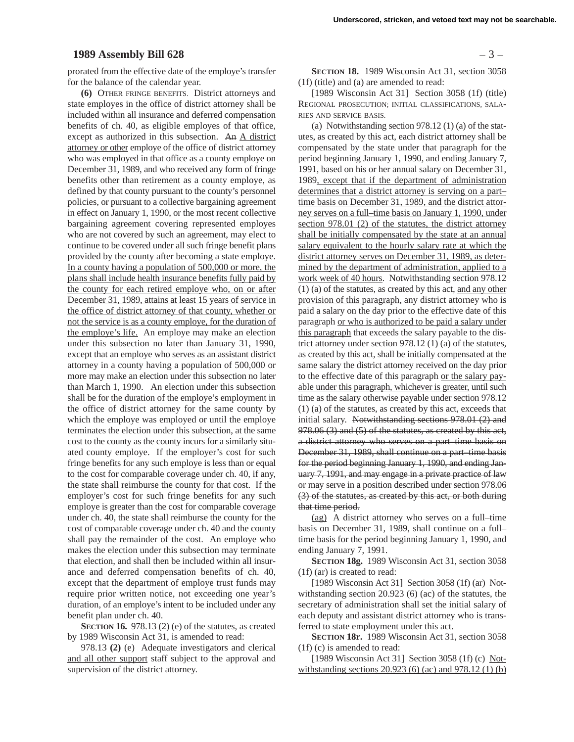#### **1989 Assembly Bill 628** – 3 –

prorated from the effective date of the employe's transfer for the balance of the calendar year.

**(6)** OTHER FRINGE BENEFITS. District attorneys and state employes in the office of district attorney shall be included within all insurance and deferred compensation benefits of ch. 40, as eligible employes of that office, except as authorized in this subsection. An A district attorney or other employe of the office of district attorney who was employed in that office as a county employe on December 31, 1989, and who received any form of fringe benefits other than retirement as a county employe, as defined by that county pursuant to the county's personnel policies, or pursuant to a collective bargaining agreement in effect on January 1, 1990, or the most recent collective bargaining agreement covering represented employes who are not covered by such an agreement, may elect to continue to be covered under all such fringe benefit plans provided by the county after becoming a state employe. In a county having a population of 500,000 or more, the plans shall include health insurance benefits fully paid by the county for each retired employe who, on or after December 31, 1989, attains at least 15 years of service in the office of district attorney of that county, whether or not the service is as a county employe, for the duration of the employe's life. An employe may make an election under this subsection no later than January 31, 1990, except that an employe who serves as an assistant district attorney in a county having a population of 500,000 or more may make an election under this subsection no later than March 1, 1990. An election under this subsection shall be for the duration of the employe's employment in the office of district attorney for the same county by which the employe was employed or until the employe terminates the election under this subsection, at the same cost to the county as the county incurs for a similarly situated county employe. If the employer's cost for such fringe benefits for any such employe is less than or equal to the cost for comparable coverage under ch. 40, if any, the state shall reimburse the county for that cost. If the employer's cost for such fringe benefits for any such employe is greater than the cost for comparable coverage under ch. 40, the state shall reimburse the county for the cost of comparable coverage under ch. 40 and the county shall pay the remainder of the cost. An employe who makes the election under this subsection may terminate that election, and shall then be included within all insurance and deferred compensation benefits of ch. 40, except that the department of employe trust funds may require prior written notice, not exceeding one year's duration, of an employe's intent to be included under any benefit plan under ch. 40.

**SECTION 16.** 978.13 (2) (e) of the statutes, as created by 1989 Wisconsin Act 31, is amended to read:

978.13 **(2)** (e) Adequate investigators and clerical and all other support staff subject to the approval and supervision of the district attorney.

**SECTION 18.** 1989 Wisconsin Act 31, section 3058 (1f) (title) and (a) are amended to read:

[1989 Wisconsin Act 31] Section 3058 (1f) (title) REGIONAL PROSECUTION; INITIAL CLASSIFICATIONS, SALA-RIES AND SERVICE BASIS.

(a) Notwithstanding section 978.12 (1) (a) of the statutes, as created by this act, each district attorney shall be compensated by the state under that paragraph for the period beginning January 1, 1990, and ending January 7, 1991, based on his or her annual salary on December 31, 1989, except that if the department of administration determines that a district attorney is serving on a part– time basis on December 31, 1989, and the district attorney serves on a full–time basis on January 1, 1990, under section 978.01 (2) of the statutes, the district attorney shall be initially compensated by the state at an annual salary equivalent to the hourly salary rate at which the district attorney serves on December 31, 1989, as determined by the department of administration, applied to a work week of 40 hours. Notwithstanding section 978.12 (1) (a) of the statutes, as created by this act, and any other provision of this paragraph, any district attorney who is paid a salary on the day prior to the effective date of this paragraph or who is authorized to be paid a salary under this paragraph that exceeds the salary payable to the district attorney under section 978.12 (1) (a) of the statutes, as created by this act, shall be initially compensated at the same salary the district attorney received on the day prior to the effective date of this paragraph or the salary payable under this paragraph, whichever is greater, until such time as the salary otherwise payable under section 978.12 (1) (a) of the statutes, as created by this act, exceeds that initial salary. Notwithstanding sections 978.01 (2) and 978.06 (3) and (5) of the statutes, as created by this act, a district attorney who serves on a part–time basis on December 31, 1989, shall continue on a part–time basis for the period beginning January 1, 1990, and ending January 7, 1991, and may engage in a private practice of law or may serve in a position described under section 978.06 (3) of the statutes, as created by this act, or both during that time period.

(ag) A district attorney who serves on a full–time basis on December 31, 1989, shall continue on a full– time basis for the period beginning January 1, 1990, and ending January 7, 1991.

**SECTION 18g.** 1989 Wisconsin Act 31, section 3058 (1f) (ar) is created to read:

[1989 Wisconsin Act 31] Section 3058 (1f) (ar) Notwithstanding section 20.923 (6) (ac) of the statutes, the secretary of administration shall set the initial salary of each deputy and assistant district attorney who is transferred to state employment under this act.

**SECTION 18r.** 1989 Wisconsin Act 31, section 3058 (1f) (c) is amended to read:

[1989 Wisconsin Act 31] Section 3058 (1f) (c) Notwithstanding sections 20.923 (6) (ac) and 978.12 (1) (b)